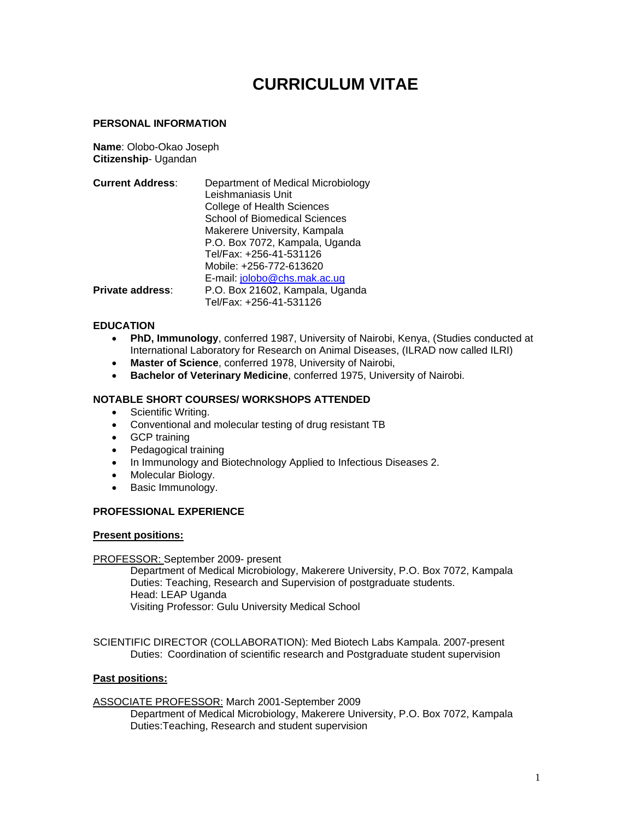# **CURRICULUM VITAE**

#### **PERSONAL INFORMATION**

**Name**: Olobo-Okao Joseph **Citizenship**- Ugandan

| <b>Current Address:</b> | Department of Medical Microbiology   |
|-------------------------|--------------------------------------|
|                         | Leishmaniasis Unit                   |
|                         | <b>College of Health Sciences</b>    |
|                         | <b>School of Biomedical Sciences</b> |
|                         | Makerere University, Kampala         |
|                         | P.O. Box 7072, Kampala, Uganda       |
|                         | Tel/Fax: +256-41-531126              |
|                         | Mobile: +256-772-613620              |
|                         | E-mail: jolobo@chs.mak.ac.ug         |
| <b>Private address:</b> | P.O. Box 21602, Kampala, Uganda      |
|                         | Tel/Fax: +256-41-531126              |

#### **EDUCATION**

- **PhD, Immunology**, conferred 1987, University of Nairobi, Kenya, (Studies conducted at International Laboratory for Research on Animal Diseases, (ILRAD now called ILRI)
- **Master of Science**, conferred 1978, University of Nairobi,
- **Bachelor of Veterinary Medicine**, conferred 1975, University of Nairobi.

## **NOTABLE SHORT COURSES/ WORKSHOPS ATTENDED**

- Scientific Writing.
- Conventional and molecular testing of drug resistant TB
- GCP training
- Pedagogical training
- In Immunology and Biotechnology Applied to Infectious Diseases 2.
- Molecular Biology.
- Basic Immunology.

#### **PROFESSIONAL EXPERIENCE**

#### **Present positions:**

#### PROFESSOR: September 2009- present

Department of Medical Microbiology, Makerere University, P.O. Box 7072, Kampala Duties: Teaching, Research and Supervision of postgraduate students. Head: LEAP Uganda Visiting Professor: Gulu University Medical School

SCIENTIFIC DIRECTOR (COLLABORATION): Med Biotech Labs Kampala. 2007-present Duties: Coordination of scientific research and Postgraduate student supervision

#### **Past positions:**

ASSOCIATE PROFESSOR: March 2001-September 2009

Department of Medical Microbiology, Makerere University, P.O. Box 7072, Kampala Duties:Teaching, Research and student supervision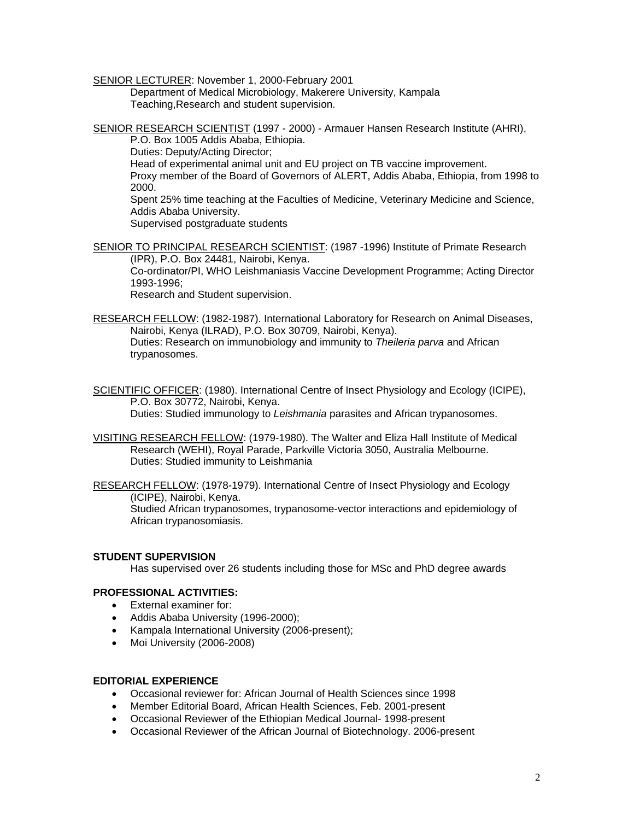SENIOR LECTURER: November 1, 2000-February 2001

Department of Medical Microbiology, Makerere University, Kampala Teaching,Research and student supervision.

SENIOR RESEARCH SCIENTIST (1997 - 2000) - Armauer Hansen Research Institute (AHRI), P.O. Box 1005 Addis Ababa, Ethiopia.

Duties: Deputy/Acting Director;

Head of experimental animal unit and EU project on TB vaccine improvement.

Proxy member of the Board of Governors of ALERT, Addis Ababa, Ethiopia, from 1998 to 2000.

Spent 25% time teaching at the Faculties of Medicine, Veterinary Medicine and Science, Addis Ababa University.

Supervised postgraduate students

SENIOR TO PRINCIPAL RESEARCH SCIENTIST: (1987 -1996) Institute of Primate Research (IPR), P.O. Box 24481, Nairobi, Kenya.

Co-ordinator/PI, WHO Leishmaniasis Vaccine Development Programme; Acting Director 1993-1996;

Research and Student supervision.

RESEARCH FELLOW: (1982-1987). International Laboratory for Research on Animal Diseases, Nairobi, Kenya (ILRAD), P.O. Box 30709, Nairobi, Kenya). Duties: Research on immunobiology and immunity to *Theileria parva* and African trypanosomes.

- SCIENTIFIC OFFICER: (1980). International Centre of Insect Physiology and Ecology (ICIPE), P.O. Box 30772, Nairobi, Kenya. Duties: Studied immunology to *Leishmania* parasites and African trypanosomes.
- VISITING RESEARCH FELLOW: (1979-1980). The Walter and Eliza Hall Institute of Medical Research (WEHI), Royal Parade, Parkville Victoria 3050, Australia Melbourne. Duties: Studied immunity to Leishmania

RESEARCH FELLOW: (1978-1979). International Centre of Insect Physiology and Ecology (ICIPE), Nairobi, Kenya.

Studied African trypanosomes, trypanosome-vector interactions and epidemiology of African trypanosomiasis.

## **STUDENT SUPERVISION**

Has supervised over 26 students including those for MSc and PhD degree awards

# **PROFESSIONAL ACTIVITIES:**

- External examiner for:
- Addis Ababa University (1996-2000);
- Kampala International University (2006-present);
- Moi University (2006-2008)

#### **EDITORIAL EXPERIENCE**

- Occasional reviewer for: African Journal of Health Sciences since 1998
- Member Editorial Board, African Health Sciences, Feb. 2001-present
- Occasional Reviewer of the Ethiopian Medical Journal- 1998-present
- Occasional Reviewer of the African Journal of Biotechnology. 2006-present